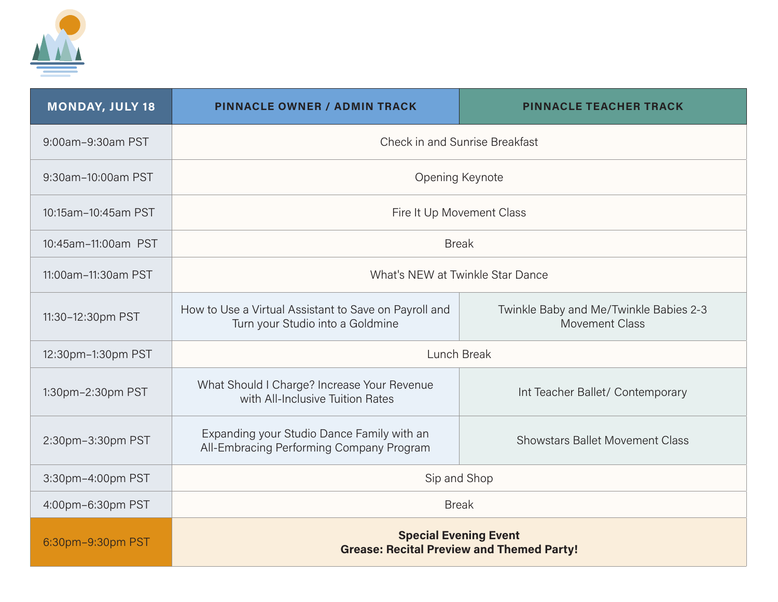

| <b>MONDAY, JULY 18</b> | <b>PINNACLE OWNER / ADMIN TRACK</b>                                                       | <b>PINNACLE TEACHER TRACK</b>                                   |
|------------------------|-------------------------------------------------------------------------------------------|-----------------------------------------------------------------|
| 9:00am-9:30am PST      | Check in and Sunrise Breakfast                                                            |                                                                 |
| 9:30am-10:00am PST     | Opening Keynote                                                                           |                                                                 |
| 10:15am-10:45am PST    | Fire It Up Movement Class                                                                 |                                                                 |
| 10:45am-11:00am PST    | <b>Break</b>                                                                              |                                                                 |
| 11:00am-11:30am PST    | What's NEW at Twinkle Star Dance                                                          |                                                                 |
| 11:30-12:30pm PST      | How to Use a Virtual Assistant to Save on Payroll and<br>Turn your Studio into a Goldmine | Twinkle Baby and Me/Twinkle Babies 2-3<br><b>Movement Class</b> |
| 12:30pm-1:30pm PST     | Lunch Break                                                                               |                                                                 |
| 1:30pm-2:30pm PST      | What Should I Charge? Increase Your Revenue<br>with All-Inclusive Tuition Rates           | Int Teacher Ballet/ Contemporary                                |
| 2:30pm-3:30pm PST      | Expanding your Studio Dance Family with an<br>All-Embracing Performing Company Program    | <b>Showstars Ballet Movement Class</b>                          |
| 3:30pm-4:00pm PST      | Sip and Shop                                                                              |                                                                 |
| 4:00pm-6:30pm PST      | <b>Break</b>                                                                              |                                                                 |
| 6:30pm-9:30pm PST      | <b>Special Evening Event</b><br><b>Grease: Recital Preview and Themed Party!</b>          |                                                                 |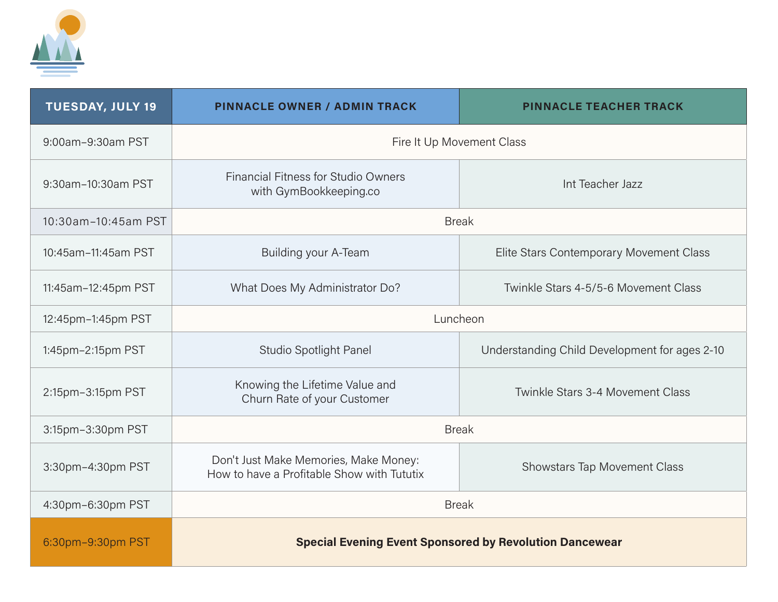

| <b>TUESDAY, JULY 19</b> | <b>PINNACLE OWNER / ADMIN TRACK</b>                                                 | <b>PINNACLE TEACHER TRACK</b>                 |
|-------------------------|-------------------------------------------------------------------------------------|-----------------------------------------------|
| 9:00am-9:30am PST       | Fire It Up Movement Class                                                           |                                               |
| 9:30am-10:30am PST      | Financial Fitness for Studio Owners<br>with GymBookkeeping.co                       | Int Teacher Jazz                              |
| 10:30am-10:45am PST     | <b>Break</b>                                                                        |                                               |
| 10:45am-11:45am PST     | Building your A-Team                                                                | Elite Stars Contemporary Movement Class       |
| 11:45am-12:45pm PST     | What Does My Administrator Do?                                                      | Twinkle Stars 4-5/5-6 Movement Class          |
| 12:45pm-1:45pm PST      | Luncheon                                                                            |                                               |
| 1:45pm-2:15pm PST       | Studio Spotlight Panel                                                              | Understanding Child Development for ages 2-10 |
| 2:15pm-3:15pm PST       | Knowing the Lifetime Value and<br>Churn Rate of your Customer                       | Twinkle Stars 3-4 Movement Class              |
| 3:15pm-3:30pm PST       | <b>Break</b>                                                                        |                                               |
| 3:30pm-4:30pm PST       | Don't Just Make Memories, Make Money:<br>How to have a Profitable Show with Tututix | <b>Showstars Tap Movement Class</b>           |
| 4:30pm-6:30pm PST       | <b>Break</b>                                                                        |                                               |
| 6:30pm-9:30pm PST       | <b>Special Evening Event Sponsored by Revolution Dancewear</b>                      |                                               |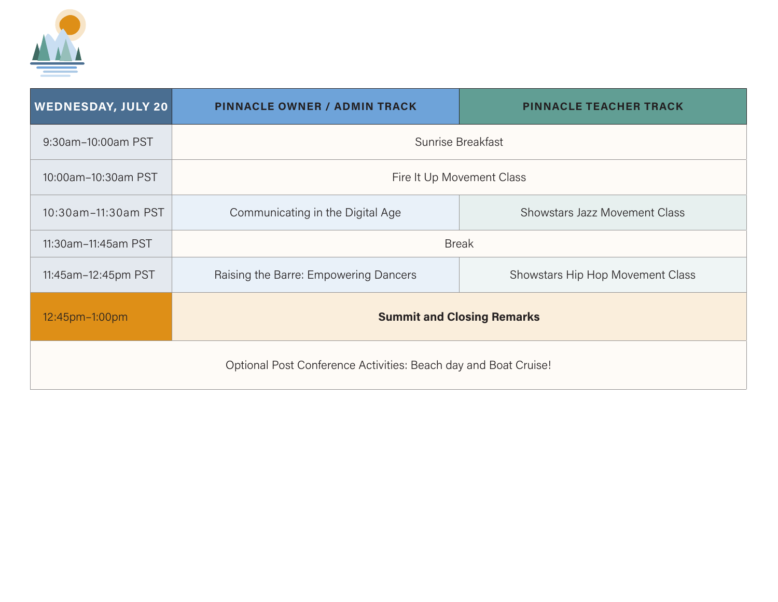

| <b>WEDNESDAY, JULY 20</b>                                       | <b>PINNACLE OWNER / ADMIN TRACK</b>   | <b>PINNACLE TEACHER TRACK</b>        |  |
|-----------------------------------------------------------------|---------------------------------------|--------------------------------------|--|
| 9:30am-10:00am PST                                              | Sunrise Breakfast                     |                                      |  |
| 10:00am-10:30am PST                                             | Fire It Up Movement Class             |                                      |  |
| 10:30am-11:30am PST                                             | Communicating in the Digital Age      | <b>Showstars Jazz Movement Class</b> |  |
| 11:30am-11:45am PST                                             | <b>Break</b>                          |                                      |  |
| 11:45am-12:45pm PST                                             | Raising the Barre: Empowering Dancers | Showstars Hip Hop Movement Class     |  |
| 12:45pm-1:00pm                                                  | <b>Summit and Closing Remarks</b>     |                                      |  |
| Optional Post Conference Activities: Beach day and Boat Cruise! |                                       |                                      |  |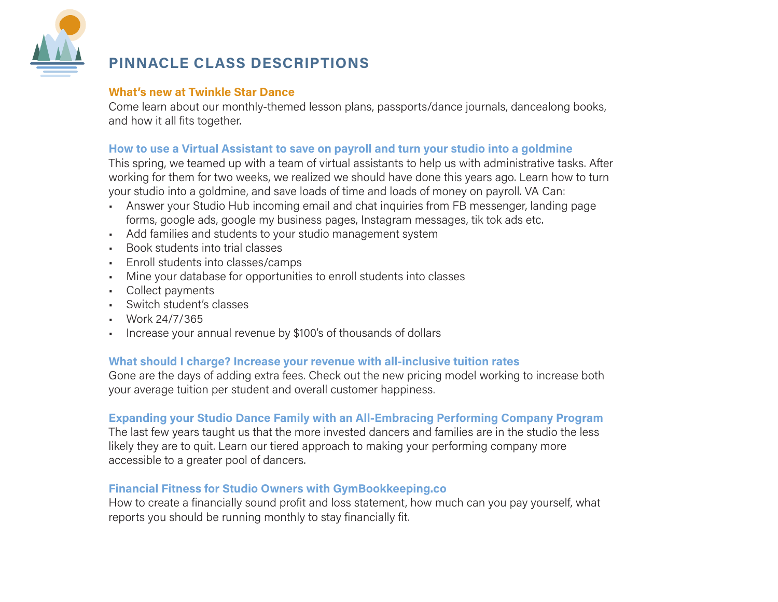

# **PINNACLE CLASS DESCRIPTIONS**

### **What's new at Twinkle Star Dance**

Come learn about our monthly-themed lesson plans, passports/dance journals, dancealong books, and how it all fits together.

### **How to use a Virtual Assistant to save on payroll and turn your studio into a goldmine**

This spring, we teamed up with a team of virtual assistants to help us with administrative tasks. After working for them for two weeks, we realized we should have done this years ago. Learn how to turn your studio into a goldmine, and save loads of time and loads of money on payroll. VA Can:

- Answer your Studio Hub incoming email and chat inquiries from FB messenger, landing page forms, google ads, google my business pages, Instagram messages, tik tok ads etc.
- Add families and students to your studio management system
- Book students into trial classes
- Enroll students into classes/camps
- Mine your database for opportunities to enroll students into classes
- Collect payments
- Switch student's classes
- Work 24/7/365
- Increase your annual revenue by \$100's of thousands of dollars

## **What should I charge? Increase your revenue with all-inclusive tuition rates**

Gone are the days of adding extra fees. Check out the new pricing model working to increase both your average tuition per student and overall customer happiness.

### **Expanding your Studio Dance Family with an All-Embracing Performing Company Program**

The last few years taught us that the more invested dancers and families are in the studio the less likely they are to quit. Learn our tiered approach to making your performing company more accessible to a greater pool of dancers.

### **Financial Fitness for Studio Owners with GymBookkeeping.co**

How to create a financially sound profit and loss statement, how much can you pay yourself, what reports you should be running monthly to stay financially fit.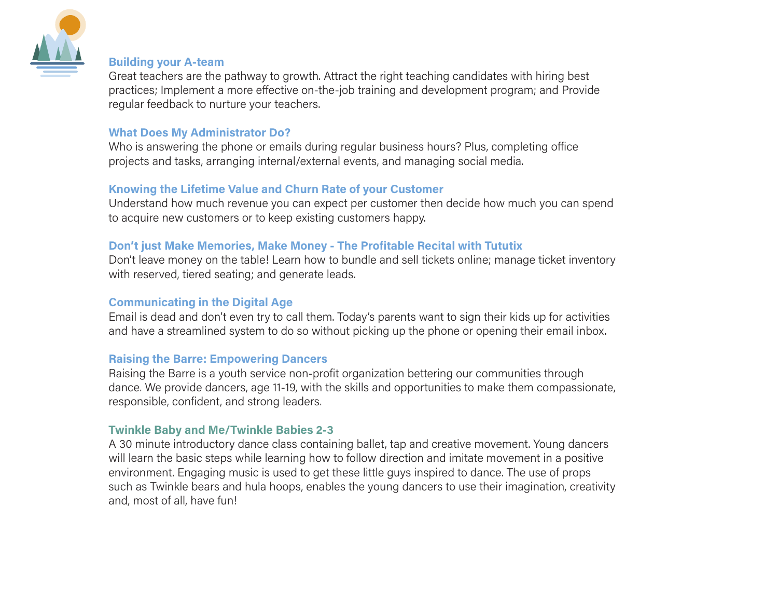

### **Building your A-team**

Great teachers are the pathway to growth. Attract the right teaching candidates with hiring best practices; Implement a more effective on-the-job training and development program; and Provide regular feedback to nurture your teachers.

#### **What Does My Administrator Do?**

Who is answering the phone or emails during regular business hours? Plus, completing office projects and tasks, arranging internal/external events, and managing social media.

### **Knowing the Lifetime Value and Churn Rate of your Customer**

Understand how much revenue you can expect per customer then decide how much you can spend to acquire new customers or to keep existing customers happy.

#### **Don't just Make Memories, Make Money - The Profitable Recital with Tututix**

Don't leave money on the table! Learn how to bundle and sell tickets online; manage ticket inventory with reserved, tiered seating; and generate leads.

#### **Communicating in the Digital Age**

Email is dead and don't even try to call them. Today's parents want to sign their kids up for activities and have a streamlined system to do so without picking up the phone or opening their email inbox.

#### **Raising the Barre: Empowering Dancers**

Raising the Barre is a youth service non-profit organization bettering our communities through dance. We provide dancers, age 11-19, with the skills and opportunities to make them compassionate, responsible, confident, and strong leaders.

#### **Twinkle Baby and Me/Twinkle Babies 2-3**

A 30 minute introductory dance class containing ballet, tap and creative movement. Young dancers will learn the basic steps while learning how to follow direction and imitate movement in a positive environment. Engaging music is used to get these little guys inspired to dance. The use of props such as Twinkle bears and hula hoops, enables the young dancers to use their imagination, creativity and, most of all, have fun!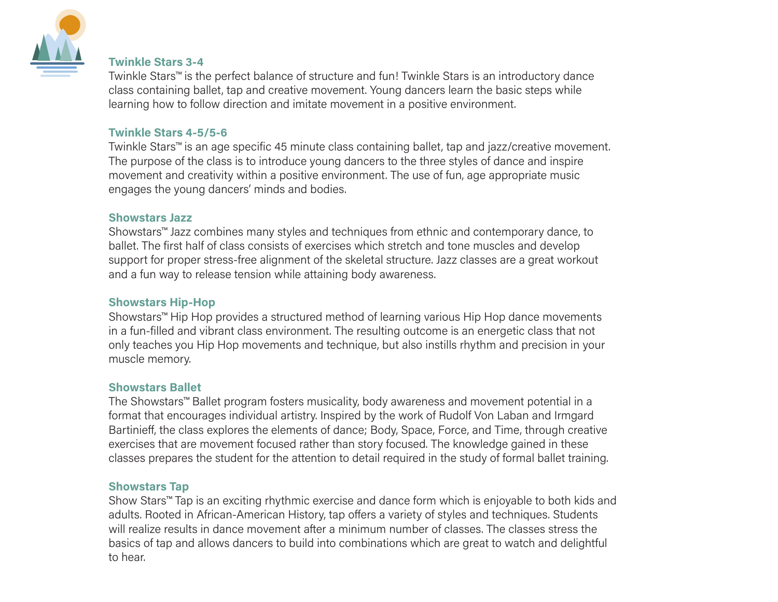

#### **Twinkle Stars 3-4**

Twinkle Stars™ is the perfect balance of structure and fun! Twinkle Stars is an introductory dance class containing ballet, tap and creative movement. Young dancers learn the basic steps while learning how to follow direction and imitate movement in a positive environment.

#### **Twinkle Stars 4-5/5-6**

Twinkle Stars™ is an age specific 45 minute class containing ballet, tap and jazz/creative movement. The purpose of the class is to introduce young dancers to the three styles of dance and inspire movement and creativity within a positive environment. The use of fun, age appropriate music engages the young dancers' minds and bodies.

#### **Showstars Jazz**

Showstars™ Jazz combines many styles and techniques from ethnic and contemporary dance, to ballet. The first half of class consists of exercises which stretch and tone muscles and develop support for proper stress-free alignment of the skeletal structure. Jazz classes are a great workout and a fun way to release tension while attaining body awareness.

#### **Showstars Hip-Hop**

Showstars™ Hip Hop provides a structured method of learning various Hip Hop dance movements in a fun-filled and vibrant class environment. The resulting outcome is an energetic class that not only teaches you Hip Hop movements and technique, but also instills rhythm and precision in your muscle memory.

#### **Showstars Ballet**

The Showstars™ Ballet program fosters musicality, body awareness and movement potential in a format that encourages individual artistry. Inspired by the work of Rudolf Von Laban and Irmgard Bartinieff, the class explores the elements of dance; Body, Space, Force, and Time, through creative exercises that are movement focused rather than story focused. The knowledge gained in these classes prepares the student for the attention to detail required in the study of formal ballet training.

#### **Showstars Tap**

Show Stars™ Tap is an exciting rhythmic exercise and dance form which is enjoyable to both kids and adults. Rooted in African-American History, tap offers a variety of styles and techniques. Students will realize results in dance movement after a minimum number of classes. The classes stress the basics of tap and allows dancers to build into combinations which are great to watch and delightful to hear.